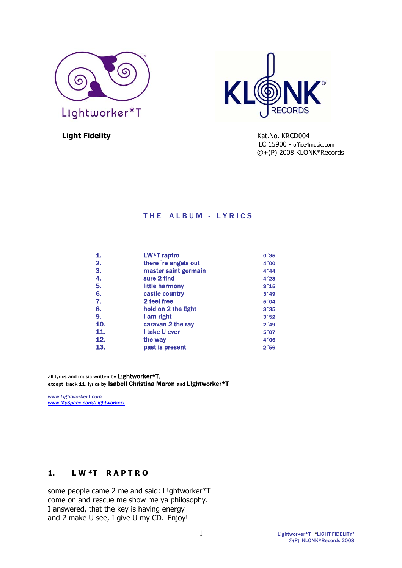



**Light Fidelity Contract Contract Contract Contract Contract Contract Contract Contract Contract Contract Contract Contract Contract Contract Contract Contract Contract Contract Contract Contract Contract Contract Contra** LC 15900 - office4music.com ©+(P) 2008 KLONK\*Records

## THE ALBUM - LYRICS

| 1.               | LW*T raptro          | 0 <sup>25</sup> |
|------------------|----------------------|-----------------|
| $\overline{2}$ . | there 're angels out | 4'00            |
| 3.               | master saint germain | 4'44            |
| 4.               | sure 2 find          | 4'23            |
| 5.               | little harmony       | $3^{\degree}15$ |
| 6.               | castle country       | 3'49            |
| 7.               | 2 feel free          | $5^{\degree}04$ |
| 8.               | hold on 2 the light  | 3'35            |
| 9.               | I am right           | 3'52            |
| 10.              | caravan 2 the ray    | 2'49            |
| 11.              | I take U ever        | 5'07            |
| 12.              | the way              | 4'06            |
| 13.              | past is present      | 2'56            |

all lyrics and music written by Lightworker\*T, except track 11. lyrics by Isabell Christina Maron and Lightworker\*T

*www.LightworkerT.com www.MySpace.com/LightworkerT* 

# **1. L W \*T R A P T R O**

some people came 2 me and said: L!ghtworker\*T come on and rescue me show me ya philosophy. I answered, that the key is having energy and 2 make U see, I give U my CD. Enjoy!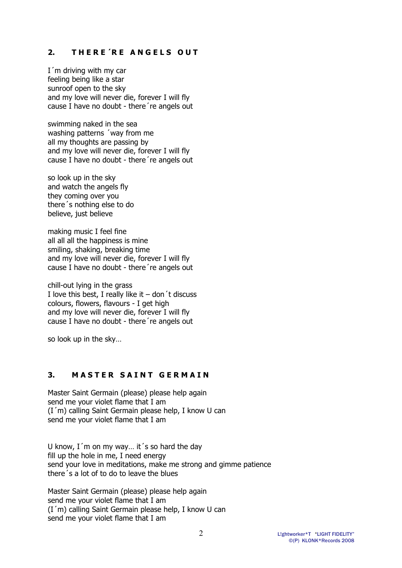## 2. THERE<sup>'</sup>RE ANGELS OUT

I´m driving with my car feeling being like a star sunroof open to the sky and my love will never die, forever I will fly cause I have no doubt - there´re angels out

swimming naked in the sea washing patterns ´way from me all my thoughts are passing by and my love will never die, forever I will fly cause I have no doubt - there´re angels out

so look up in the sky and watch the angels fly they coming over you there´s nothing else to do believe, just believe

making music I feel fine all all all the happiness is mine smiling, shaking, breaking time and my love will never die, forever I will fly cause I have no doubt - there´re angels out

chill-out lying in the grass I love this best, I really like it  $-$  don't discuss colours, flowers, flavours - I get high and my love will never die, forever I will fly cause I have no doubt - there´re angels out

so look up in the sky…

## **3. MASTER SAINT GERMAIN**

Master Saint Germain (please) please help again send me your violet flame that I am (I´m) calling Saint Germain please help, I know U can send me your violet flame that I am

U know, I'm on my way... it's so hard the day fill up the hole in me, I need energy send your love in meditations, make me strong and gimme patience there´s a lot of to do to leave the blues

Master Saint Germain (please) please help again send me your violet flame that I am (I´m) calling Saint Germain please help, I know U can send me your violet flame that I am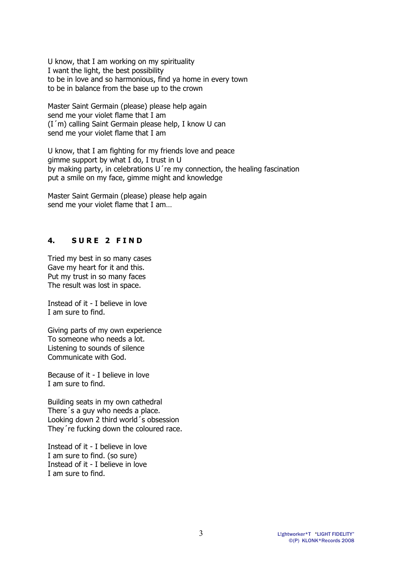U know, that I am working on my spirituality I want the light, the best possibility to be in love and so harmonious, find ya home in every town to be in balance from the base up to the crown

Master Saint Germain (please) please help again send me your violet flame that I am (I´m) calling Saint Germain please help, I know U can send me your violet flame that I am

U know, that I am fighting for my friends love and peace gimme support by what I do, I trust in U by making party, in celebrations U´re my connection, the healing fascination put a smile on my face, gimme might and knowledge

Master Saint Germain (please) please help again send me your violet flame that I am…

## **4. S U R E 2 F I N D**

Tried my best in so many cases Gave my heart for it and this. Put my trust in so many faces The result was lost in space.

Instead of it - I believe in love I am sure to find.

Giving parts of my own experience To someone who needs a lot. Listening to sounds of silence Communicate with God.

Because of it - I believe in love I am sure to find.

Building seats in my own cathedral There´s a guy who needs a place. Looking down 2 third world´s obsession They´re fucking down the coloured race.

Instead of it - I believe in love I am sure to find. (so sure) Instead of it - I believe in love I am sure to find.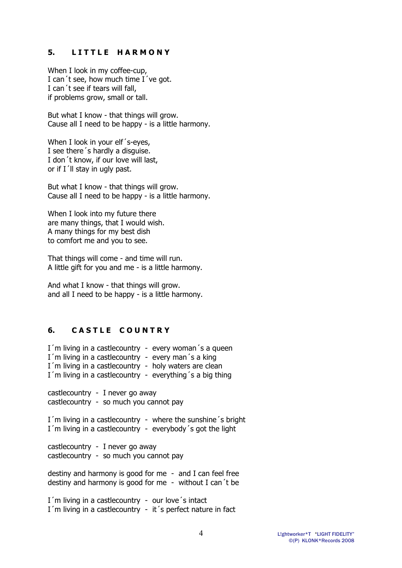#### **5. L I T T L E H A R M O N Y**

When I look in my coffee-cup, I can't see, how much time I've got. I can´t see if tears will fall, if problems grow, small or tall.

But what I know - that things will grow. Cause all I need to be happy - is a little harmony.

When I look in your elf's-eyes, I see there´s hardly a disguise. I don´t know, if our love will last, or if I´ll stay in ugly past.

But what I know - that things will grow. Cause all I need to be happy - is a little harmony.

When I look into my future there are many things, that I would wish. A many things for my best dish to comfort me and you to see.

That things will come - and time will run. A little gift for you and me - is a little harmony.

And what I know - that things will grow. and all I need to be happy - is a little harmony.

## **6. C A S T L E C O U N T R Y**

I'm living in a castlecountry - every woman's a queen I'm living in a castlecountry - every man's a king I'm living in a castlecountry - holy waters are clean I´m living in a castlecountry - everything´s a big thing

castlecountry - I never go away castlecountry - so much you cannot pay

I´m living in a castlecountry - where the sunshine´s bright I´m living in a castlecountry - everybody´s got the light

castlecountry - I never go away castlecountry - so much you cannot pay

destiny and harmony is good for me - and I can feel free destiny and harmony is good for me - without I can´t be

I'm living in a castlecountry - our love's intact I'm living in a castlecountry - it's perfect nature in fact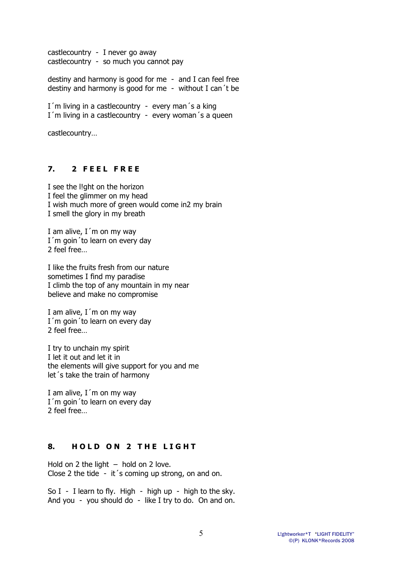castlecountry - I never go away castlecountry - so much you cannot pay

destiny and harmony is good for me - and I can feel free destiny and harmony is good for me - without I can´t be

I'm living in a castlecountry - every man's a king I´m living in a castlecountry - every woman´s a queen

castlecountry…

## **7. 2 F E E L F R E E**

I see the l!ght on the horizon I feel the glimmer on my head I wish much more of green would come in2 my brain I smell the glory in my breath

I am alive,  $I$  m on my way I'm goin' to learn on every day 2 feel free…

I like the fruits fresh from our nature sometimes I find my paradise I climb the top of any mountain in my near believe and make no compromise

I am alive,  $I$  m on my way I'm goin'to learn on every day 2 feel free…

I try to unchain my spirit I let it out and let it in the elements will give support for you and me let´s take the train of harmony

I am alive,  $I$  m on my way I'm goin' to learn on every day 2 feel free…

# **8. HOLD ON 2 THE LIGHT**

Hold on 2 the light  $-$  hold on 2 love. Close 2 the tide - it´s coming up strong, on and on.

So I - I learn to fly. High - high up - high to the sky. And you - you should do - like I try to do. On and on.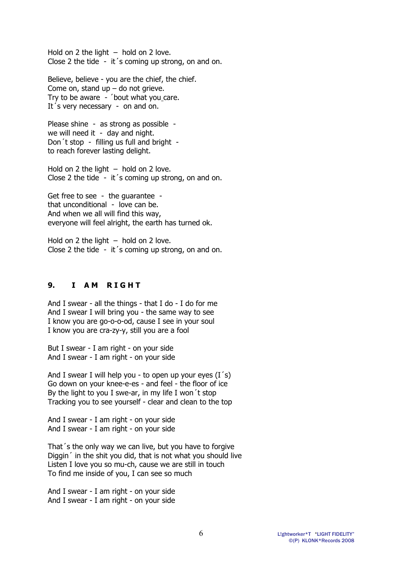Hold on 2 the light  $-$  hold on 2 love. Close 2 the tide - it´s coming up strong, on and on.

Believe, believe - you are the chief, the chief. Come on, stand  $up$  – do not grieve. Try to be aware - ´bout what you care. It's very necessary - on and on.

Please shine - as strong as possible we will need it - day and night. Don´t stop - filling us full and bright to reach forever lasting delight.

Hold on 2 the light – hold on 2 love. Close 2 the tide - it´s coming up strong, on and on.

Get free to see - the guarantee that unconditional - love can be. And when we all will find this way, everyone will feel alright, the earth has turned ok.

Hold on 2 the light  $-$  hold on 2 love. Close 2 the tide - it´s coming up strong, on and on.

## **9. I AM RIGHT**

And I swear - all the things - that I do - I do for me And I swear I will bring you - the same way to see I know you are go-o-o-od, cause I see in your soul I know you are cra-zy-y, still you are a fool

But I swear - I am right - on your side And I swear - I am right - on your side

And I swear I will help you - to open up your eyes  $(I's)$ Go down on your knee-e-es - and feel - the floor of ice By the light to you I swe-ar, in my life I won´t stop Tracking you to see yourself - clear and clean to the top

And I swear - I am right - on your side And I swear - I am right - on your side

That´s the only way we can live, but you have to forgive Diggin´ in the shit you did, that is not what you should live Listen I love you so mu-ch, cause we are still in touch To find me inside of you, I can see so much

And I swear - I am right - on your side And I swear - I am right - on your side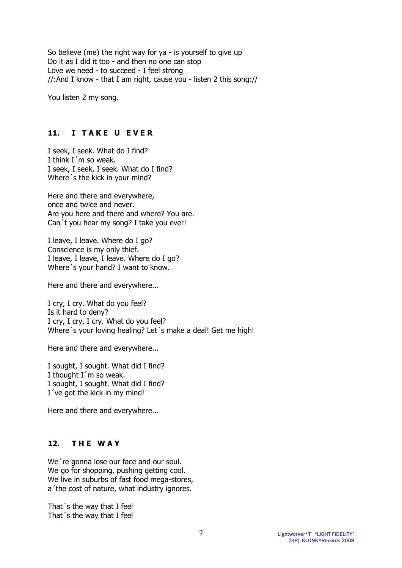So believe (me) the right way for ya - is yourself to give up Do it as I did it too - and then no one can stop Love we need - to succeed - I feel strong //:And I know - that I am right, cause you - listen 2 this song://

You listen 2 my song.

#### **11. I TAKE U EVER**

I seek, I seek. What do I find? I think I´m so weak. I seek, I seek, I seek. What do I find? Where´s the kick in your mind?

Here and there and everywhere, once and twice and never. Are you here and there and where? You are. Can´t you hear my song? I take you ever!

I leave, I leave. Where do I go? Conscience is my only thief. I leave, I leave, I leave. Where do I go? Where´s your hand? I want to know.

Here and there and everywhere...

I cry, I cry. What do you feel? Is it hard to deny? I cry, I cry, I cry. What do you feel? Where´s your loving healing? Let´s make a deal! Get me high!

Here and there and everywhere...

I sought, I sought. What did I find? I thought I´m so weak. I sought, I sought. What did I find? I´ve got the kick in my mind!

Here and there and everywhere...

## **12. T H E W A Y**

We're gonna lose our face and our soul. We go for shopping, pushing getting cool. We live in suburbs of fast food mega-stores, a´the cost of nature, what industry ignores.

That´s the way that I feel That´s the way that I feel